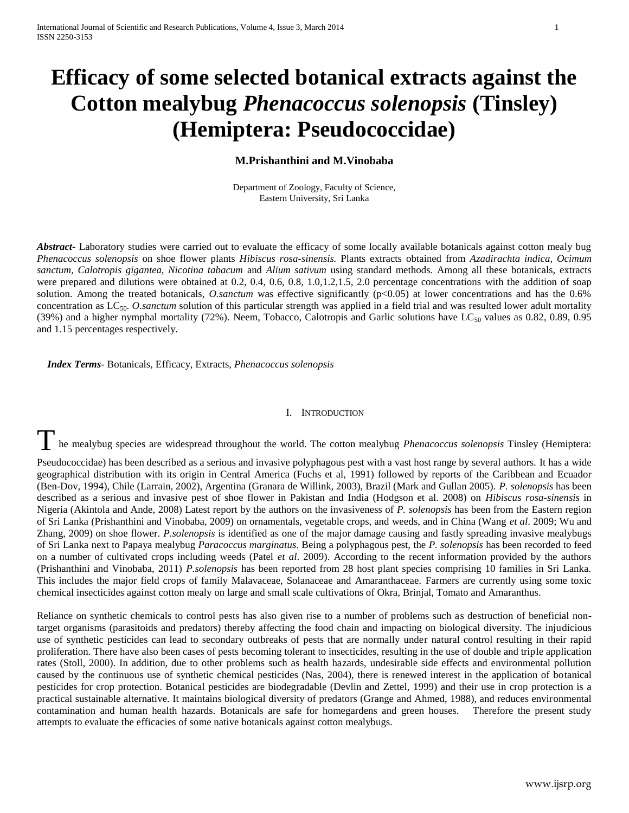# **Efficacy of some selected botanical extracts against the Cotton mealybug** *Phenacoccus solenopsis* **(Tinsley) (Hemiptera: Pseudococcidae)**

# **M.Prishanthini and M.Vinobaba**

Department of Zoology, Faculty of Science, Eastern University, Sri Lanka

*Abstract***-** Laboratory studies were carried out to evaluate the efficacy of some locally available botanicals against cotton mealy bug *Phenacoccus solenopsis* on shoe flower plants *Hibiscus rosa-sinensis.* Plants extracts obtained from *Azadirachta indica, Ocimum sanctum, Calotropis gigantea, Nicotina tabacum* and *Alium sativum* using standard methods*.* Among all these botanicals, extracts were prepared and dilutions were obtained at 0.2, 0.4, 0.6, 0.8, 1.0,1.2,1.5, 2.0 percentage concentrations with the addition of soap solution. Among the treated botanicals, *O.sanctum* was effective significantly (p<0.05) at lower concentrations and has the 0.6% concentration as LC<sub>50</sub>. *O.sanctum* solution of this particular strength was applied in a field trial and was resulted lower adult mortality (39%) and a higher nymphal mortality (72%). Neem, Tobacco, Calotropis and Garlic solutions have  $LC_{50}$  values as 0.82, 0.89, 0.95 and 1.15 percentages respectively.

 *Index Terms*- Botanicals, Efficacy, Extracts, *Phenacoccus solenopsis*

# I. INTRODUCTION

The mealybug species are widespread throughout the world. The cotton mealybug *Phenacoccus solenopsis* Tinsley (Hemiptera:

Pseudococcidae) has been described as a serious and invasive polyphagous pest with a vast host range by several authors. It has a wide geographical distribution with its origin in Central America (Fuchs et al, 1991) followed by reports of the Caribbean and Ecuador (Ben-Dov, 1994), Chile (Larrain, 2002), Argentina (Granara de Willink, 2003), Brazil (Mark and Gullan 2005). *P. solenopsis* has been described as a serious and invasive pest of shoe flower in Pakistan and India (Hodgson et al. 2008) on *Hibiscus rosa-sinensis* in Nigeria (Akintola and Ande, 2008) Latest report by the authors on the invasiveness of *P. solenopsis* has been from the Eastern region of Sri Lanka (Prishanthini and Vinobaba, 2009) on ornamentals, vegetable crops, and weeds, and in China (Wang *et al*. 2009; Wu and Zhang, 2009) on shoe flower. *P.solenopsis* is identified as one of the major damage causing and fastly spreading invasive mealybugs of Sri Lanka next to Papaya mealybug *Paracoccus marginatus*. Being a polyphagous pest, the *P. solenopsis* has been recorded to feed on a number of cultivated crops including weeds (Patel *et al*. 2009). According to the recent information provided by the authors (Prishanthini and Vinobaba, 2011) *P.solenopsis* has been reported from 28 host plant species comprising 10 families in Sri Lanka. This includes the major field crops of family Malavaceae, Solanaceae and Amaranthaceae. Farmers are currently using some toxic chemical insecticides against cotton mealy on large and small scale cultivations of Okra, Brinjal, Tomato and Amaranthus.

Reliance on synthetic chemicals to control pests has also given rise to a number of problems such as destruction of beneficial nontarget organisms (parasitoids and predators) thereby affecting the food chain and impacting on biological diversity. The injudicious use of synthetic pesticides can lead to secondary outbreaks of pests that are normally under natural control resulting in their rapid proliferation. There have also been cases of pests becoming tolerant to insecticides, resulting in the use of double and triple application rates (Stoll, 2000). In addition, due to other problems such as health hazards, undesirable side effects and environmental pollution caused by the continuous use of synthetic chemical pesticides (Nas, 2004), there is renewed interest in the application of botanical pesticides for crop protection. Botanical pesticides are biodegradable (Devlin and Zettel, 1999) and their use in crop protection is a practical sustainable alternative. It maintains biological diversity of predators (Grange and Ahmed, 1988), and reduces environmental contamination and human health hazards. Botanicals are safe for homegardens and green houses. Therefore the present study attempts to evaluate the efficacies of some native botanicals against cotton mealybugs.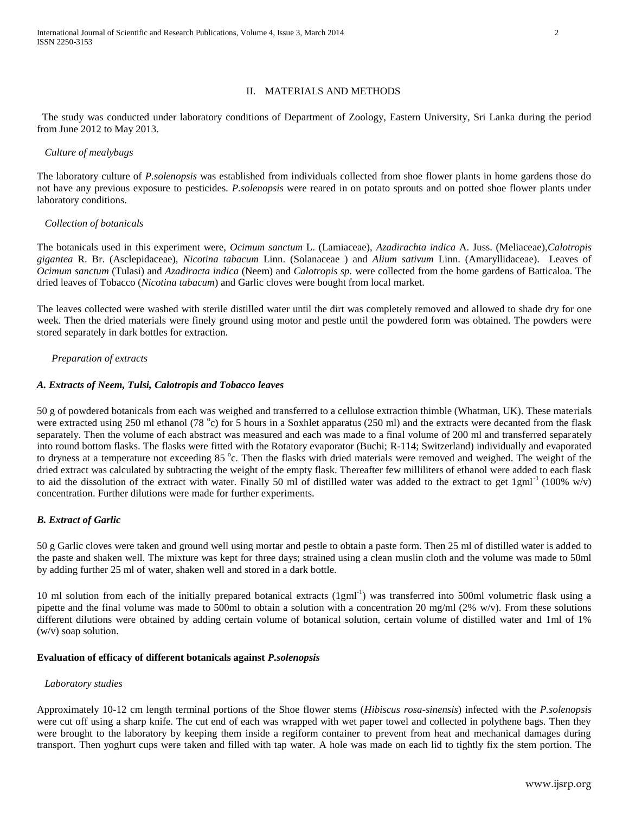#### II. MATERIALS AND METHODS

 The study was conducted under laboratory conditions of Department of Zoology, Eastern University, Sri Lanka during the period from June 2012 to May 2013.

#### *Culture of mealybugs*

The laboratory culture of *P.solenopsis* was established from individuals collected from shoe flower plants in home gardens those do not have any previous exposure to pesticides*. P.solenopsis* were reared in on potato sprouts and on potted shoe flower plants under laboratory conditions.

#### *Collection of botanicals*

The botanicals used in this experiment were, *Ocimum sanctum* L. (Lamiaceae), *Azadirachta indica* A. Juss. (Meliaceae),*Calotropis gigantea* R. Br. (Asclepidaceae), *Nicotina tabacum* Linn. (Solanaceae ) and *Alium sativum* Linn. (Amaryllidaceae). Leaves of *Ocimum sanctum* (Tulasi) and *Azadiracta indica* (Neem) and *Calotropis sp.* were collected from the home gardens of Batticaloa. The dried leaves of Tobacco (*Nicotina tabacum*) and Garlic cloves were bought from local market.

The leaves collected were washed with sterile distilled water until the dirt was completely removed and allowed to shade dry for one week. Then the dried materials were finely ground using motor and pestle until the powdered form was obtained. The powders were stored separately in dark bottles for extraction.

#### *Preparation of extracts*

#### *A. Extracts of Neem, Tulsi, Calotropis and Tobacco leaves*

50 g of powdered botanicals from each was weighed and transferred to a cellulose extraction thimble (Whatman, UK). These materials were extracted using 250 ml ethanol (78 °c) for 5 hours in a Soxhlet apparatus (250 ml) and the extracts were decanted from the flask separately. Then the volume of each abstract was measured and each was made to a final volume of 200 ml and transferred separately into round bottom flasks. The flasks were fitted with the Rotatory evaporator (Buchi; R-114; Switzerland) individually and evaporated to dryness at a temperature not exceeding 85 °c. Then the flasks with dried materials were removed and weighed. The weight of the dried extract was calculated by subtracting the weight of the empty flask. Thereafter few milliliters of ethanol were added to each flask to aid the dissolution of the extract with water. Finally 50 ml of distilled water was added to the extract to get  $1gml<sup>-1</sup> (100% w/v)$ concentration. Further dilutions were made for further experiments.

# *B. Extract of Garlic*

50 g Garlic cloves were taken and ground well using mortar and pestle to obtain a paste form. Then 25 ml of distilled water is added to the paste and shaken well. The mixture was kept for three days; strained using a clean muslin cloth and the volume was made to 50ml by adding further 25 ml of water, shaken well and stored in a dark bottle.

10 ml solution from each of the initially prepared botanical extracts (1gml<sup>-1</sup>) was transferred into 500ml volumetric flask using a pipette and the final volume was made to 500ml to obtain a solution with a concentration 20 mg/ml (2% w/v). From these solutions different dilutions were obtained by adding certain volume of botanical solution, certain volume of distilled water and 1ml of 1% (w/v) soap solution.

# **Evaluation of efficacy of different botanicals against** *P.solenopsis*

# *Laboratory studies*

Approximately 10-12 cm length terminal portions of the Shoe flower stems (*Hibiscus rosa-sinensis*) infected with the *P.solenopsis* were cut off using a sharp knife. The cut end of each was wrapped with wet paper towel and collected in polythene bags. Then they were brought to the laboratory by keeping them inside a regiform container to prevent from heat and mechanical damages during transport. Then yoghurt cups were taken and filled with tap water. A hole was made on each lid to tightly fix the stem portion. The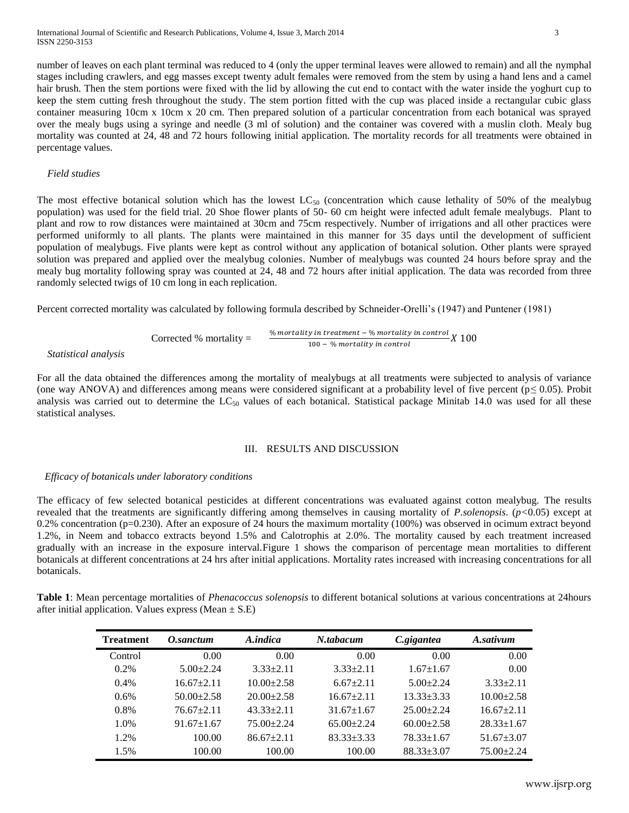number of leaves on each plant terminal was reduced to 4 (only the upper terminal leaves were allowed to remain) and all the nymphal stages including crawlers, and egg masses except twenty adult females were removed from the stem by using a hand lens and a camel hair brush. Then the stem portions were fixed with the lid by allowing the cut end to contact with the water inside the yoghurt cup to keep the stem cutting fresh throughout the study. The stem portion fitted with the cup was placed inside a rectangular cubic glass container measuring 10cm x 10cm x 20 cm. Then prepared solution of a particular concentration from each botanical was sprayed over the mealy bugs using a syringe and needle (3 ml of solution) and the container was covered with a muslin cloth. Mealy bug mortality was counted at 24, 48 and 72 hours following initial application. The mortality records for all treatments were obtained in percentage values.

#### *Field studies*

The most effective botanical solution which has the lowest  $LC_{50}$  (concentration which cause lethality of 50% of the mealybug population) was used for the field trial. 20 Shoe flower plants of 50- 60 cm height were infected adult female mealybugs. Plant to plant and row to row distances were maintained at 30cm and 75cm respectively. Number of irrigations and all other practices were performed uniformly to all plants. The plants were maintained in this manner for 35 days until the development of sufficient population of mealybugs. Five plants were kept as control without any application of botanical solution. Other plants were sprayed solution was prepared and applied over the mealybug colonies. Number of mealybugs was counted 24 hours before spray and the mealy bug mortality following spray was counted at 24, 48 and 72 hours after initial application. The data was recorded from three randomly selected twigs of 10 cm long in each replication.

Percent corrected mortality was calculated by following formula described by Schneider-Orelli's (1947) and Puntener (1981)

Corrected % mortality = 
$$
\frac{\% \text{ mortality in treatment - } 00 - \% \text{ mortality in control}}{100 - \% \text{ mortality in control}} X 100
$$

 *Statistical analysis*

For all the data obtained the differences among the mortality of mealybugs at all treatments were subjected to analysis of variance (one way ANOVA) and differences among means were considered significant at a probability level of five percent (p*≤* 0.05). Probit analysis was carried out to determine the  $LC_{50}$  values of each botanical. Statistical package Minitab 14.0 was used for all these statistical analyses.

# III. RESULTS AND DISCUSSION

# *Efficacy of botanicals under laboratory conditions*

The efficacy of few selected botanical pesticides at different concentrations was evaluated against cotton mealybug. The results revealed that the treatments are significantly differing among themselves in causing mortality of *P.solenopsis*. (*p<*0.05) except at 0.2% concentration (p=0.230). After an exposure of 24 hours the maximum mortality (100%) was observed in ocimum extract beyond 1.2%, in Neem and tobacco extracts beyond 1.5% and Calotrophis at 2.0%. The mortality caused by each treatment increased gradually with an increase in the exposure interval.Figure 1 shows the comparison of percentage mean mortalities to different botanicals at different concentrations at 24 hrs after initial applications. Mortality rates increased with increasing concentrations for all botanicals.

**Table 1**: Mean percentage mortalities of *Phenacoccus solenopsis* to different botanical solutions at various concentrations at 24hours after initial application. Values express (Mean  $\pm$  S.E)

| Treatment | O.sanctum        | A.indica         | N.tabacum        | C.gigantea       | A.sativum        |
|-----------|------------------|------------------|------------------|------------------|------------------|
| Control   | 0.00             | 0.00             | 0.00             | 0.00             | 0.00             |
| 0.2%      | $5.00 \pm 2.24$  | $3.33 \pm 2.11$  | $3.33 \pm 2.11$  | $1.67 + 1.67$    | 0.00             |
| $0.4\%$   | $16.67 \pm 2.11$ | $10.00 \pm 2.58$ | $6.67+2.11$      | $5.00 \pm 2.24$  | $3.33 \pm 2.11$  |
| 0.6%      | $50.00 \pm 2.58$ | $20.00 \pm 2.58$ | $16.67 \pm 2.11$ | $13.33 + 3.33$   | $10.00 \pm 2.58$ |
| $0.8\%$   | $76.67 \pm 2.11$ | $43.33 \pm 2.11$ | $31.67 \pm 1.67$ | $25.00 \pm 2.24$ | $16.67 \pm 2.11$ |
| 1.0%      | $91.67 \pm 1.67$ | $75.00 \pm 2.24$ | $65.00 \pm 2.24$ | $60.00 \pm 2.58$ | $28.33 \pm 1.67$ |
| 1.2%      | 100.00           | $86.67 \pm 2.11$ | $83.33 + 3.33$   | $78.33 \pm 1.67$ | $51.67 + 3.07$   |
| 1.5%      | 100.00           | 100.00           | 100.00           | $88.33 \pm 3.07$ | $75.00 \pm 2.24$ |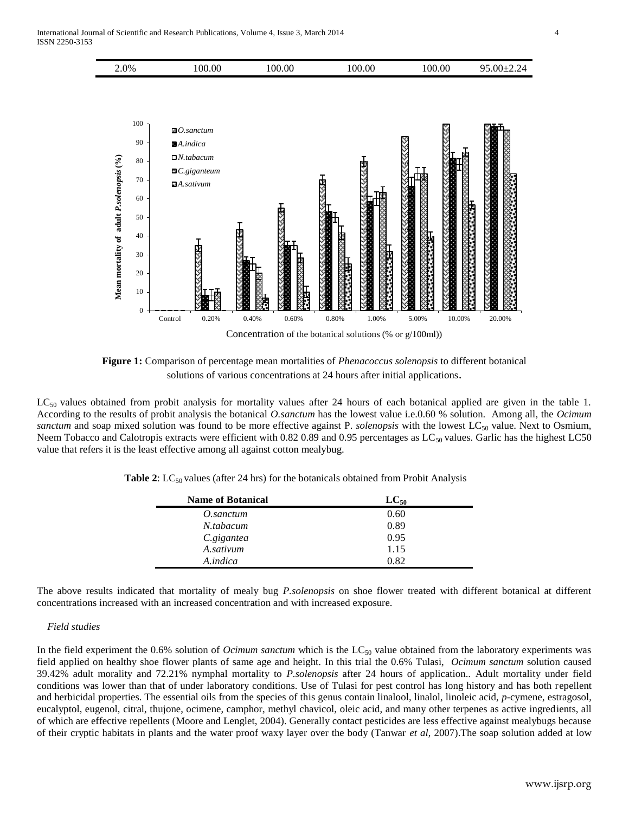

**Figure 1:** Comparison of percentage mean mortalities of *Phenacoccus solenopsis* to different botanical solutions of various concentrations at 24 hours after initial applications.

 $LC_{50}$  values obtained from probit analysis for mortality values after 24 hours of each botanical applied are given in the table 1. According to the results of probit analysis the botanical *O.sanctum* has the lowest value i.e.0.60 % solution. Among all, the *Ocimum sanctum* and soap mixed solution was found to be more effective against P. *solenopsis* with the lowest LC<sub>50</sub> value. Next to Osmium, Neem Tobacco and Calotropis extracts were efficient with 0.82 0.89 and 0.95 percentages as  $LC_{50}$  values. Garlic has the highest LC50 value that refers it is the least effective among all against cotton mealybug.

**Table 2:** LC<sub>50</sub> values (after 24 hrs) for the botanicals obtained from Probit Analysis

| <b>Name of Botanical</b> | $LC_{50}$ |
|--------------------------|-----------|
| O.sanctum                | 0.60      |
| N.tabacum                | 0.89      |
| C.gigantea               | 0.95      |
| A.sativum                | 1.15      |
| A.indica                 | 0.82      |

The above results indicated that mortality of mealy bug *P.solenopsis* on shoe flower treated with different botanical at different concentrations increased with an increased concentration and with increased exposure.

# *Field studies*

In the field experiment the 0.6% solution of *Ocimum sanctum* which is the LC<sub>50</sub> value obtained from the laboratory experiments was field applied on healthy shoe flower plants of same age and height. In this trial the 0.6% Tulasi, *Ocimum sanctum* solution caused 39.42% adult morality and 72.21% nymphal mortality to *P.solenopsis* after 24 hours of application.*.* Adult mortality under field conditions was lower than that of under laboratory conditions. Use of Tulasi for pest control has long history and has both repellent and herbicidal properties. The essential oils from the species of this genus contain linalool, linalol, linoleic acid, *p*-cymene, estragosol, eucalyptol, eugenol, citral, thujone, ocimene, camphor, methyl chavicol, oleic acid, and many other terpenes as active ingredients, all of which are effective repellents (Moore and Lenglet, 2004). Generally contact pesticides are less effective against mealybugs because of their cryptic habitats in plants and the water proof waxy layer over the body (Tanwar *et al*, 2007).The soap solution added at low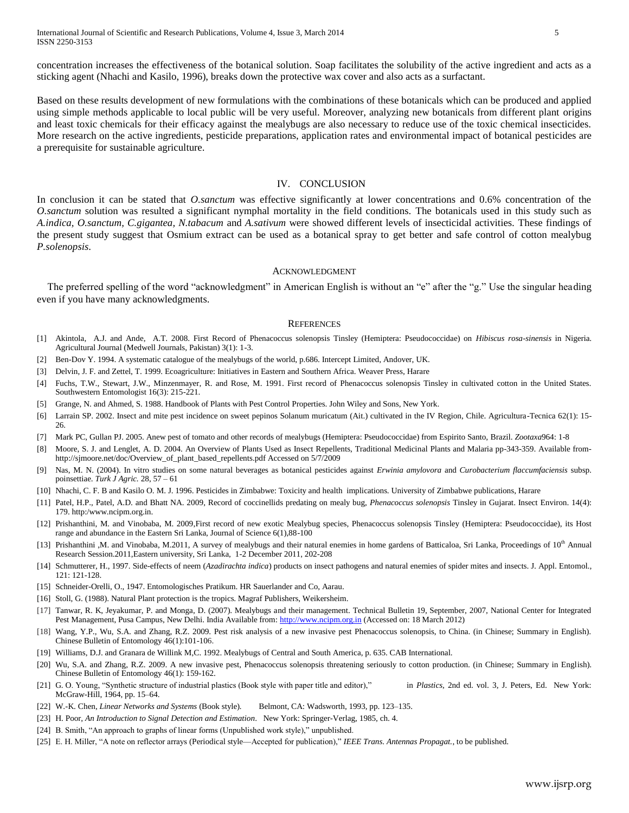concentration increases the effectiveness of the botanical solution. Soap facilitates the solubility of the active ingredient and acts as a sticking agent (Nhachi and Kasilo, 1996), breaks down the protective wax cover and also acts as a surfactant.

Based on these results development of new formulations with the combinations of these botanicals which can be produced and applied using simple methods applicable to local public will be very useful. Moreover, analyzing new botanicals from different plant origins and least toxic chemicals for their efficacy against the mealybugs are also necessary to reduce use of the toxic chemical insecticides. More research on the active ingredients, pesticide preparations, application rates and environmental impact of botanical pesticides are a prerequisite for sustainable agriculture.

#### IV. CONCLUSION

In conclusion it can be stated that *O.sanctum* was effective significantly at lower concentrations and 0.6% concentration of the *O.sanctum* solution was resulted a significant nymphal mortality in the field conditions. The botanicals used in this study such as *A.indica, O.sanctum, C.gigantea, N.tabacum* and *A.sativum* were showed different levels of insecticidal activities. These findings of the present study suggest that Osmium extract can be used as a botanical spray to get better and safe control of cotton mealybug *P.solenopsis*.

#### ACKNOWLEDGMENT

The preferred spelling of the word "acknowledgment" in American English is without an "e" after the "g." Use the singular heading even if you have many acknowledgments.

#### **REFERENCES**

- [1] Akintola, A.J. and Ande, A.T. 2008. First Record of Phenacoccus solenopsis Tinsley (Hemiptera: Pseudococcidae) on *Hibiscus rosa-sinensis* in Nigeria. Agricultural Journal (Medwell Journals, Pakistan) 3(1): 1-3.
- [2] Ben-Dov Y. 1994. A systematic catalogue of the mealybugs of the world, p.686. Intercept Limited, Andover, UK.
- [3] Delvin, J. F. and Zettel, T. 1999. Ecoagriculture: Initiatives in Eastern and Southern Africa. Weaver Press, Harare
- [4] Fuchs, T.W., Stewart, J.W., Minzenmayer, R. and Rose, M. 1991. First record of Phenacoccus solenopsis Tinsley in cultivated cotton in the United States. Southwestern Entomologist 16(3): 215-221.
- [5] Grange, N. and Ahmed, S. 1988. Handbook of Plants with Pest Control Properties. John Wiley and Sons, New York.
- [6] Larrain SP. 2002. Insect and mite pest incidence on sweet pepinos Solanum muricatum (Ait.) cultivated in the IV Region, Chile. Agricultura-Tecnica 62(1): 15- 26.
- [7] Mark PC, Gullan PJ. 2005. Anew pest of tomato and other records of mealybugs (Hemiptera: Pseudococcidae) from Espirito Santo, Brazil. *Zootaxa*964: 1-8
- [8] Moore, S. J. and Lenglet, A. D. 2004. An Overview of Plants Used as Insect Repellents, Traditional Medicinal Plants and Malaria pp-343-359. Available fromhttp://sjmoore.net/doc/Overview\_of\_plant\_based\_repellents.pdf Accessed on 5/7/2009
- [9] Nas, M. N. (2004). In vitro studies on some natural beverages as botanical pesticides against *Erwinia amylovora* and *Curobacterium flaccumfaciensis* subsp. poinsettiae. *Turk J Agric.* 28, 57 – 61
- [10] Nhachi, C. F. B and Kasilo O. M. J. 1996. Pesticides in Zimbabwe: Toxicity and health implications. University of Zimbabwe publications, Harare
- [11] Patel, H.P., Patel, A.D. and Bhatt NA. 2009, Record of coccinellids predating on mealy bug, *Phenacoccus solenopsis* Tinsley in Gujarat. Insect Environ. 14(4): 179. http:/www.ncipm.org.in.
- [12] Prishanthini, M. and Vinobaba, M. 2009,First record of new exotic Mealybug species, Phenacoccus solenopsis Tinsley (Hemiptera: Pseudococcidae), its Host range and abundance in the Eastern Sri Lanka, Journal of Science 6(1),88-100
- [13] Prishanthini ,M. and Vinobaba, M.2011, A survey of mealybugs and their natural enemies in home gardens of Batticaloa, Sri Lanka, Proceedings of 10<sup>th</sup> Annual Research Session.2011,Eastern university, Sri Lanka, 1-2 December 2011, 202-208
- [14] Schmutterer, H., 1997. Side-effects of neem (*Azadirachta indica*) products on insect pathogens and natural enemies of spider mites and insects. J. Appl. Entomol.*,*  121: 121-128.
- [15] Schneider-Orelli, O., 1947. Entomologisches Pratikum. HR Sauerlander and Co, Aarau.
- [16] Stoll, G. (1988). Natural Plant protection is the tropics. Magraf Publishers, Weikersheim.
- [17] Tanwar, R. K, Jeyakumar, P. and Monga, D. (2007). Mealybugs and their management. Technical Bulletin 19, September, 2007, National Center for Integrated Pest Management, Pusa Campus, New Delhi. India Available from[: http://www.ncipm.org.in](http://www.ncipm.org.in/) (Accessed on: 18 March 2012)
- [18] Wang, Y.P., Wu, S.A. and Zhang, R.Z. 2009. Pest risk analysis of a new invasive pest Phenacoccus solenopsis, to China. (in Chinese; Summary in English). Chinese Bulletin of Entomology 46(1):101-106.
- [19] Williams, D.J. and Granara de Willink M,C. 1992. Mealybugs of Central and South America, p. 635. CAB International.
- [20] Wu, S.A. and Zhang, R.Z. 2009. A new invasive pest, Phenacoccus solenopsis threatening seriously to cotton production. (in Chinese; Summary in English). Chinese Bulletin of Entomology 46(1): 159-162.
- [21] G. O. Young, "Synthetic structure of industrial plastics (Book style with paper title and editor)," in *Plastics*, 2nd ed. vol. 3, J. Peters, Ed. New York: McGraw-Hill, 1964, pp. 15–64.
- [22] W.-K. Chen, *Linear Networks and Systems* (Book style)*.* Belmont, CA: Wadsworth, 1993, pp. 123–135.
- [23] H. Poor, *An Introduction to Signal Detection and Estimation*. New York: Springer-Verlag, 1985, ch. 4.
- [24] B. Smith, "An approach to graphs of linear forms (Unpublished work style)," unpublished.
- [25] E. H. Miller, "A note on reflector arrays (Periodical style—Accepted for publication)," *IEEE Trans. Antennas Propagat.*, to be published.